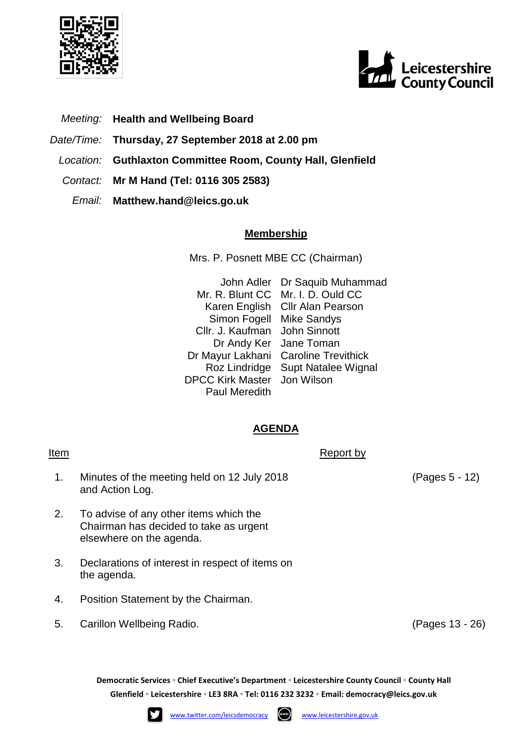



- *Meeting:* **Health and Wellbeing Board**
- *Date/Time:* **Thursday, 27 September 2018 at 2.00 pm**
- *Location:* **Guthlaxton Committee Room, County Hall, Glenfield**
- *Contact:* **Mr M Hand (Tel: 0116 305 2583)**
	- *Email:* **Matthew.hand@leics.go.uk**

## **Membership**

Mrs. P. Posnett MBE CC (Chairman)

John Adler Dr Saquib Muhammad Mr. R. Blunt CC Mr. I. D. Ould CC Karen English Cllr Alan Pearson Simon Fogell Mike Sandys Cllr. J. Kaufman John Sinnott Dr Andy Ker Jane Toman Dr Mayur Lakhani Caroline Trevithick Roz Lindridge Supt Natalee Wignal DPCC Kirk Master Jon Wilson Paul Meredith

## **AGENDA**

1. Minutes of the meeting held on 12 July 2018 and Action Log.

Item Report by The Report by The Report by The Report by The Report by The Report by The Report by The Report by The Report by The Report by The Report by The Report by The Report by The Report by The Report by The Report

- 2. To advise of any other items which the Chairman has decided to take as urgent elsewhere on the agenda.
- 3. Declarations of interest in respect of items on the agenda.
- 4. Position Statement by the Chairman.
- 5. Carillon Wellbeing Radio. (Pages 13 26)

**Democratic Services ◦ Chief Executive's Department ◦ Leicestershire County Council ◦ County Hall Glenfield ◦ Leicestershire ◦ LE3 8RA ◦ Tel: 0116 232 3232 ◦ Email: [democracy@leics.gov.uk](mailto:democracy@leics.gov.uk)**





(Pages 5 - 12)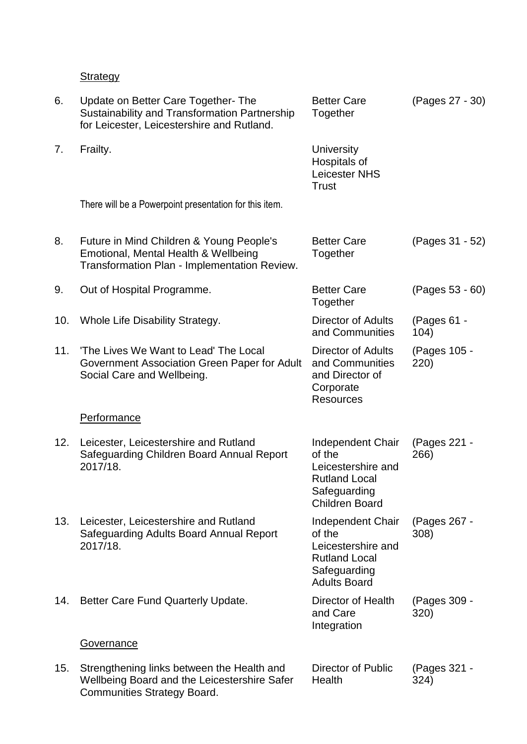**Strategy** 

| 6.  | Update on Better Care Together-The<br>Sustainability and Transformation Partnership<br>for Leicester, Leicestershire and Rutland. | <b>Better Care</b><br>Together                                                                                     | (Pages 27 - 30)      |
|-----|-----------------------------------------------------------------------------------------------------------------------------------|--------------------------------------------------------------------------------------------------------------------|----------------------|
| 7.  | Frailty.                                                                                                                          | <b>University</b><br>Hospitals of<br><b>Leicester NHS</b><br><b>Trust</b>                                          |                      |
|     | There will be a Powerpoint presentation for this item.                                                                            |                                                                                                                    |                      |
| 8.  | Future in Mind Children & Young People's<br>Emotional, Mental Health & Wellbeing<br>Transformation Plan - Implementation Review.  | <b>Better Care</b><br>Together                                                                                     | (Pages 31 - 52)      |
| 9.  | Out of Hospital Programme.                                                                                                        | <b>Better Care</b><br>Together                                                                                     | (Pages 53 - 60)      |
| 10. | Whole Life Disability Strategy.                                                                                                   | <b>Director of Adults</b><br>and Communities                                                                       | (Pages 61 -<br>104)  |
| 11. | 'The Lives We Want to Lead' The Local<br>Government Association Green Paper for Adult<br>Social Care and Wellbeing.               | <b>Director of Adults</b><br>and Communities<br>and Director of<br>Corporate<br><b>Resources</b>                   | (Pages 105 -<br>220) |
|     | <b>Performance</b>                                                                                                                |                                                                                                                    |                      |
| 12. | Leicester, Leicestershire and Rutland<br>Safeguarding Children Board Annual Report<br>2017/18.                                    | Independent Chair<br>of the<br>Leicestershire and<br><b>Rutland Local</b><br>Safeguarding<br><b>Children Board</b> | (Pages 221 -<br>266) |
| 13. | Leicester, Leicestershire and Rutland<br>Safeguarding Adults Board Annual Report<br>2017/18.                                      | Independent Chair<br>of the<br>Leicestershire and<br><b>Rutland Local</b><br>Safeguarding<br><b>Adults Board</b>   | (Pages 267 -<br>308) |
| 14. | Better Care Fund Quarterly Update.                                                                                                | Director of Health<br>and Care<br>Integration                                                                      | (Pages 309 -<br>320) |
|     | <b>Governance</b>                                                                                                                 |                                                                                                                    |                      |
| 15. | Strengthening links between the Health and<br>Wellbeing Board and the Leicestershire Safer<br>Communities Strategy Board.         | Director of Public<br>Health                                                                                       | (Pages 321 -<br>324) |